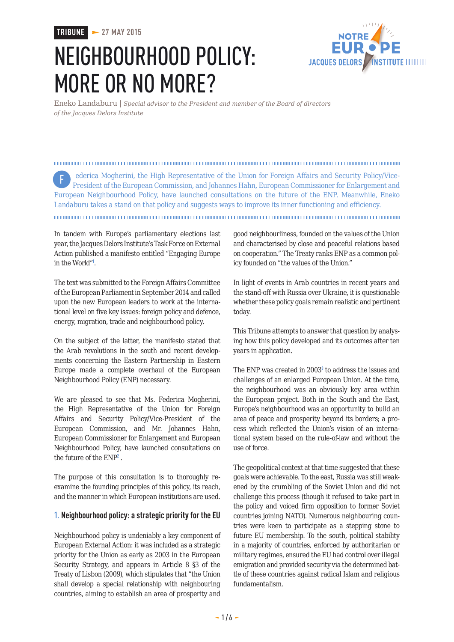# **TRIBUNE 27 MAY 2015**

# NEIGHBOURHOOD POLICY: MORE OR NO MORE?



Eneko Landaburu | *Special advisor to the President and member of the Board of directors of the Jacques Delors Institute*

 ederica Mogherini, the High Representative of the Union for Foreign Affairs and Security Policy/Vice-President of the European Commission, and Johannes Hahn, European Commissioner for Enlargement and European Neighbourhood Policy, have launched consultations on the future of the ENP. Meanwhile, Eneko Landaburu takes a stand on that policy and suggests ways to improve its inner functioning and efficiency. F

In tandem with Europe's parliamentary elections last year, the Jacques Delors Institute's Task Force on External Action published a manifesto entitled "Engaging Europe in the World"<sup>1</sup> .

The text was submitted to the Foreign Affairs Committee of the European Parliament in September 2014 and called upon the new European leaders to work at the international level on five key issues: foreign policy and defence, energy, migration, trade and neighbourhood policy.

On the subject of the latter, the manifesto stated that the Arab revolutions in the south and recent developments concerning the Eastern Partnership in Eastern Europe made a complete overhaul of the European Neighbourhood Policy (ENP) necessary.

We are pleased to see that Ms. Federica Mogherini, the High Representative of the Union for Foreign Affairs and Security Policy/Vice-President of the European Commission, and Mr. Johannes Hahn, European Commissioner for Enlargement and European Neighbourhood Policy, have launched consultations on the future of the ENP<sup>2</sup>.

The purpose of this consultation is to thoroughly reexamine the founding principles of this policy, its reach, and the manner in which European institutions are used.

## **1. Neighbourhood policy: a strategic priority for the EU**

Neighbourhood policy is undeniably a key component of European External Action: it was included as a strategic priority for the Union as early as 2003 in the European Security Strategy, and appears in Article 8 §3 of the Treaty of Lisbon (2009), which stipulates that "the Union shall develop a special relationship with neighbouring countries, aiming to establish an area of prosperity and

good neighbourliness, founded on the values of the Union and characterised by close and peaceful relations based on cooperation." The Treaty ranks ENP as a common policy founded on "the values of the Union."

In light of events in Arab countries in recent years and the stand-off with Russia over Ukraine, it is questionable whether these policy goals remain realistic and pertinent today.

This Tribune attempts to answer that question by analysing how this policy developed and its outcomes after ten years in application.

The ENP was created in 2003<sup>3</sup> to address the issues and challenges of an enlarged European Union. At the time, the neighbourhood was an obviously key area within the European project. Both in the South and the East, Europe's neighbourhood was an opportunity to build an area of peace and prosperity beyond its borders; a process which reflected the Union's vision of an international system based on the rule-of-law and without the use of force.

The geopolitical context at that time suggested that these goals were achievable. To the east, Russia was still weakened by the crumbling of the Soviet Union and did not challenge this process (though it refused to take part in the policy and voiced firm opposition to former Soviet countries joining NATO). Numerous neighbouring countries were keen to participate as a stepping stone to future EU membership. To the south, political stability in a majority of countries, enforced by authoritarian or military regimes, ensured the EU had control over illegal emigration and provided security via the determined battle of these countries against radical Islam and religious fundamentalism.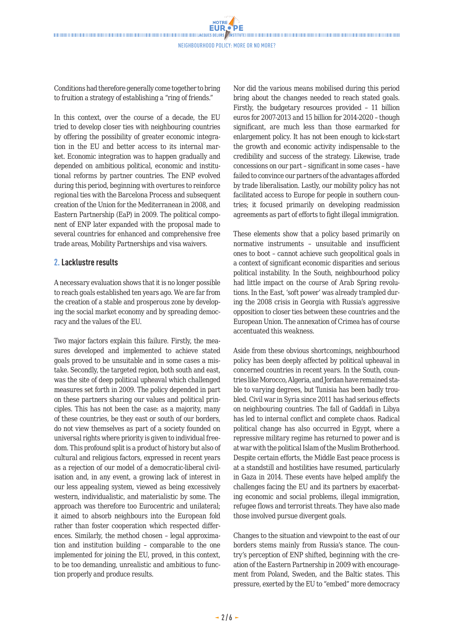Conditions had therefore generally come together to bring to fruition a strategy of establishing a "ring of friends."

In this context, over the course of a decade, the EU tried to develop closer ties with neighbouring countries by offering the possibility of greater economic integration in the EU and better access to its internal market. Economic integration was to happen gradually and depended on ambitious political, economic and institutional reforms by partner countries. The ENP evolved during this period, beginning with overtures to reinforce regional ties with the Barcelona Process and subsequent creation of the Union for the Mediterranean in 2008, and Eastern Partnership (EaP) in 2009. The political component of ENP later expanded with the proposal made to several countries for enhanced and comprehensive free trade areas, Mobility Partnerships and visa waivers.

#### **2. Lacklustre results**

A necessary evaluation shows that it is no longer possible to reach goals established ten years ago. We are far from the creation of a stable and prosperous zone by developing the social market economy and by spreading democracy and the values of the EU.

Two major factors explain this failure. Firstly, the measures developed and implemented to achieve stated goals proved to be unsuitable and in some cases a mistake. Secondly, the targeted region, both south and east, was the site of deep political upheaval which challenged measures set forth in 2009. The policy depended in part on these partners sharing our values and political principles. This has not been the case: as a majority, many of these countries, be they east or south of our borders, do not view themselves as part of a society founded on universal rights where priority is given to individual freedom. This profound split is a product of history but also of cultural and religious factors, expressed in recent years as a rejection of our model of a democratic-liberal civilisation and, in any event, a growing lack of interest in our less appealing system, viewed as being excessively western, individualistic, and materialistic by some. The approach was therefore too Eurocentric and unilateral; it aimed to absorb neighbours into the European fold rather than foster cooperation which respected differences. Similarly, the method chosen – legal approximation and institution building – comparable to the one implemented for joining the EU, proved, in this context, to be too demanding, unrealistic and ambitious to function properly and produce results.

Nor did the various means mobilised during this period bring about the changes needed to reach stated goals. Firstly, the budgetary resources provided – 11 billion euros for 2007-2013 and 15 billion for 2014-2020 – though significant, are much less than those earmarked for enlargement policy. It has not been enough to kick-start the growth and economic activity indispensable to the credibility and success of the strategy. Likewise, trade concessions on our part – significant in some cases – have failed to convince our partners of the advantages afforded by trade liberalisation. Lastly, our mobility policy has not facilitated access to Europe for people in southern countries; it focused primarily on developing readmission agreements as part of efforts to fight illegal immigration.

These elements show that a policy based primarily on normative instruments – unsuitable and insufficient ones to boot – cannot achieve such geopolitical goals in a context of significant economic disparities and serious political instability. In the South, neighbourhood policy had little impact on the course of Arab Spring revolutions. In the East, 'soft power' was already trampled during the 2008 crisis in Georgia with Russia's aggressive opposition to closer ties between these countries and the European Union. The annexation of Crimea has of course accentuated this weakness.

Aside from these obvious shortcomings, neighbourhood policy has been deeply affected by political upheaval in concerned countries in recent years. In the South, countries like Morocco, Algeria, and Jordan have remained stable to varying degrees, but Tunisia has been badly troubled. Civil war in Syria since 2011 has had serious effects on neighbouring countries. The fall of Gaddafi in Libya has led to internal conflict and complete chaos. Radical political change has also occurred in Egypt, where a repressive military regime has returned to power and is at war with the political Islam of the Muslim Brotherhood. Despite certain efforts, the Middle East peace process is at a standstill and hostilities have resumed, particularly in Gaza in 2014. These events have helped amplify the challenges facing the EU and its partners by exacerbating economic and social problems, illegal immigration, refugee flows and terrorist threats. They have also made those involved pursue divergent goals.

Changes to the situation and viewpoint to the east of our borders stems mainly from Russia's stance. The country's perception of ENP shifted, beginning with the creation of the Eastern Partnership in 2009 with encouragement from Poland, Sweden, and the Baltic states. This pressure, exerted by the EU to "embed" more democracy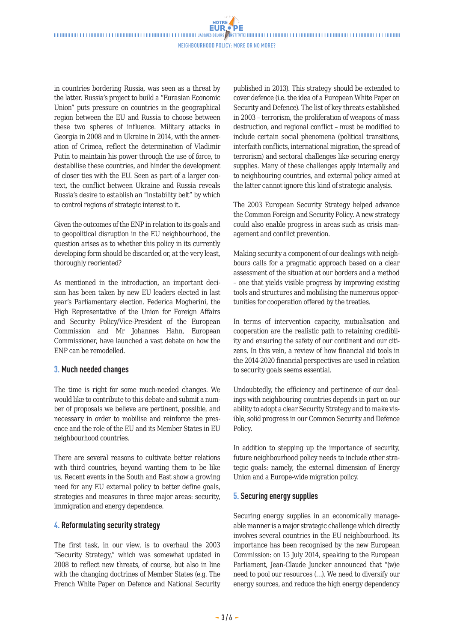**NOTRE** 

in countries bordering Russia, was seen as a threat by the latter. Russia's project to build a "Eurasian Economic Union" puts pressure on countries in the geographical region between the EU and Russia to choose between these two spheres of influence. Military attacks in Georgia in 2008 and in Ukraine in 2014, with the annexation of Crimea, reflect the determination of Vladimir Putin to maintain his power through the use of force, to destabilise these countries, and hinder the development of closer ties with the EU. Seen as part of a larger context, the conflict between Ukraine and Russia reveals Russia's desire to establish an "instability belt" by which to control regions of strategic interest to it.

Given the outcomes of the ENP in relation to its goals and to geopolitical disruption in the EU neighbourhood, the question arises as to whether this policy in its currently developing form should be discarded or, at the very least, thoroughly reoriented?

As mentioned in the introduction, an important decision has been taken by new EU leaders elected in last year's Parliamentary election. Federica Mogherini, the High Representative of the Union for Foreign Affairs and Security Policy/Vice-President of the European Commission and Mr Johannes Hahn, European Commissioner, have launched a vast debate on how the ENP can be remodelled.

## **3. Much needed changes**

The time is right for some much-needed changes. We would like to contribute to this debate and submit a number of proposals we believe are pertinent, possible, and necessary in order to mobilise and reinforce the presence and the role of the EU and its Member States in EU neighbourhood countries.

There are several reasons to cultivate better relations with third countries, beyond wanting them to be like us. Recent events in the South and East show a growing need for any EU external policy to better define goals, strategies and measures in three major areas: security, immigration and energy dependence.

# **4. Reformulating security strategy**

The first task, in our view, is to overhaul the 2003 "Security Strategy," which was somewhat updated in 2008 to reflect new threats, of course, but also in line with the changing doctrines of Member States (e.g. The French White Paper on Defence and National Security

published in 2013). This strategy should be extended to cover defence (i.e. the idea of a European White Paper on Security and Defence). The list of key threats established in 2003 – terrorism, the proliferation of weapons of mass destruction, and regional conflict – must be modified to include certain social phenomena (political transitions, interfaith conflicts, international migration, the spread of terrorism) and sectoral challenges like securing energy supplies. Many of these challenges apply internally and to neighbouring countries, and external policy aimed at the latter cannot ignore this kind of strategic analysis.

The 2003 European Security Strategy helped advance the Common Foreign and Security Policy. A new strategy could also enable progress in areas such as crisis management and conflict prevention.

Making security a component of our dealings with neighbours calls for a pragmatic approach based on a clear assessment of the situation at our borders and a method – one that yields visible progress by improving existing tools and structures and mobilising the numerous opportunities for cooperation offered by the treaties.

In terms of intervention capacity, mutualisation and cooperation are the realistic path to retaining credibility and ensuring the safety of our continent and our citizens. In this vein, a review of how financial aid tools in the 2014-2020 financial perspectives are used in relation to security goals seems essential.

Undoubtedly, the efficiency and pertinence of our dealings with neighbouring countries depends in part on our ability to adopt a clear Security Strategy and to make visible, solid progress in our Common Security and Defence Policy.

In addition to stepping up the importance of security, future neighbourhood policy needs to include other strategic goals: namely, the external dimension of Energy Union and a Europe-wide migration policy.

#### **5. Securing energy supplies**

Securing energy supplies in an economically manageable manner is a major strategic challenge which directly involves several countries in the EU neighbourhood. Its importance has been recognised by the new European Commission: on 15 July 2014, speaking to the European Parliament, Jean-Claude Juncker announced that "(w)e need to pool our resources (…). We need to diversify our energy sources, and reduce the high energy dependency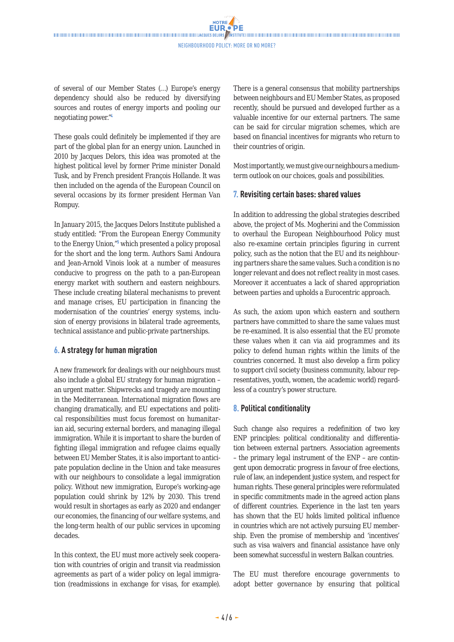**NOTRE** 

of several of our Member States (…) Europe's energy dependency should also be reduced by diversifying sources and routes of energy imports and pooling our negotiating power."<sup>4</sup>

These goals could definitely be implemented if they are part of the global plan for an energy union. Launched in 2010 by Jacques Delors, this idea was promoted at the highest political level by former Prime minister Donald Tusk, and by French president François Hollande. It was then included on the agenda of the European Council on several occasions by its former president Herman Van Rompuy.

In January 2015, the Jacques Delors Institute published a study entitled: "From the European Energy Community to the Energy Union,"<sup>5</sup> which presented a policy proposal for the short and the long term. Authors Sami Andoura and Jean-Arnold Vinois look at a number of measures conducive to progress on the path to a pan-European energy market with southern and eastern neighbours. These include creating bilateral mechanisms to prevent and manage crises, EU participation in financing the modernisation of the countries' energy systems, inclusion of energy provisions in bilateral trade agreements, technical assistance and public-private partnerships.

## **6. A strategy for human migration**

A new framework for dealings with our neighbours must also include a global EU strategy for human migration – an urgent matter. Shipwrecks and tragedy are mounting in the Mediterranean. International migration flows are changing dramatically, and EU expectations and political responsibilities must focus foremost on humanitarian aid, securing external borders, and managing illegal immigration. While it is important to share the burden of fighting illegal immigration and refugee claims equally between EU Member States, it is also important to anticipate population decline in the Union and take measures with our neighbours to consolidate a legal immigration policy. Without new immigration, Europe's working-age population could shrink by 12% by 2030. This trend would result in shortages as early as 2020 and endanger our economies, the financing of our welfare systems, and the long-term health of our public services in upcoming decades.

In this context, the EU must more actively seek cooperation with countries of origin and transit via readmission agreements as part of a wider policy on legal immigration (readmissions in exchange for visas, for example).

There is a general consensus that mobility partnerships between neighbours and EU Member States, as proposed recently, should be pursued and developed further as a valuable incentive for our external partners. The same can be said for circular migration schemes, which are based on financial incentives for migrants who return to their countries of origin.

Most importantly, we must give our neighbours a mediumterm outlook on our choices, goals and possibilities.

## **7. Revisiting certain bases: shared values**

In addition to addressing the global strategies described above, the project of Ms. Mogherini and the Commission to overhaul the European Neighbourhood Policy must also re-examine certain principles figuring in current policy, such as the notion that the EU and its neighbouring partners share the same values. Such a condition is no longer relevant and does not reflect reality in most cases. Moreover it accentuates a lack of shared appropriation between parties and upholds a Eurocentric approach.

As such, the axiom upon which eastern and southern partners have committed to share the same values must be re-examined. It is also essential that the EU promote these values when it can via aid programmes and its policy to defend human rights within the limits of the countries concerned. It must also develop a firm policy to support civil society (business community, labour representatives, youth, women, the academic world) regardless of a country's power structure.

## **8. Political conditionality**

Such change also requires a redefinition of two key ENP principles: political conditionality and differentiation between external partners. Association agreements – the primary legal instrument of the ENP – are contingent upon democratic progress in favour of free elections, rule of law, an independent justice system, and respect for human rights. These general principles were reformulated in specific commitments made in the agreed action plans of different countries. Experience in the last ten years has shown that the EU holds limited political influence in countries which are not actively pursuing EU membership. Even the promise of membership and 'incentives' such as visa waivers and financial assistance have only been somewhat successful in western Balkan countries.

The EU must therefore encourage governments to adopt better governance by ensuring that political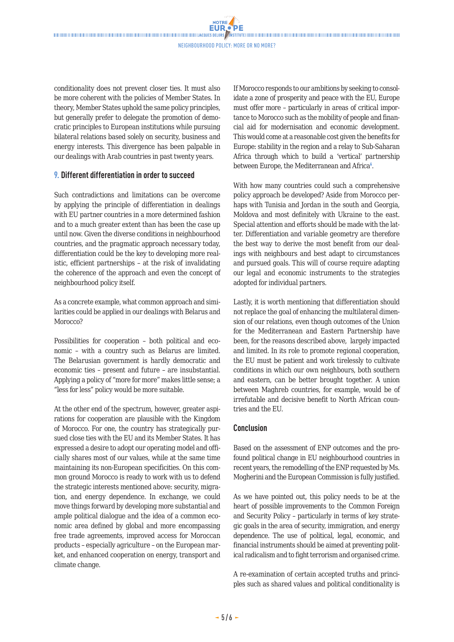**NOTRE** 

conditionality does not prevent closer ties. It must also be more coherent with the policies of Member States. In theory, Member States uphold the same policy principles, but generally prefer to delegate the promotion of democratic principles to European institutions while pursuing bilateral relations based solely on security, business and energy interests. This divergence has been palpable in our dealings with Arab countries in past twenty years.

#### **9. Different differentiation in order to succeed**

Such contradictions and limitations can be overcome by applying the principle of differentiation in dealings with EU partner countries in a more determined fashion and to a much greater extent than has been the case up until now. Given the diverse conditions in neighbourhood countries, and the pragmatic approach necessary today, differentiation could be the key to developing more realistic, efficient partnerships – at the risk of invalidating the coherence of the approach and even the concept of neighbourhood policy itself.

As a concrete example, what common approach and similarities could be applied in our dealings with Belarus and Morocco?

Possibilities for cooperation – both political and economic – with a country such as Belarus are limited. The Belarusian government is hardly democratic and economic ties – present and future – are insubstantial. Applying a policy of "more for more" makes little sense; a "less for less" policy would be more suitable.

At the other end of the spectrum, however, greater aspirations for cooperation are plausible with the Kingdom of Morocco. For one, the country has strategically pursued close ties with the EU and its Member States. It has expressed a desire to adopt our operating model and officially shares most of our values, while at the same time maintaining its non-European specificities. On this common ground Morocco is ready to work with us to defend the strategic interests mentioned above: security, migration, and energy dependence. In exchange, we could move things forward by developing more substantial and ample political dialogue and the idea of a common economic area defined by global and more encompassing free trade agreements, improved access for Moroccan products – especially agriculture – on the European market, and enhanced cooperation on energy, transport and climate change.

If Morocco responds to our ambitions by seeking to consolidate a zone of prosperity and peace with the EU, Europe must offer more – particularly in areas of critical importance to Morocco such as the mobility of people and financial aid for modernisation and economic development. This would come at a reasonable cost given the benefits for Europe: stability in the region and a relay to Sub-Saharan Africa through which to build a 'vertical' partnership between Europe, the Mediterranean and Africa<sup>6</sup>.

With how many countries could such a comprehensive policy approach be developed? Aside from Morocco perhaps with Tunisia and Jordan in the south and Georgia, Moldova and most definitely with Ukraine to the east. Special attention and efforts should be made with the latter. Differentiation and variable geometry are therefore the best way to derive the most benefit from our dealings with neighbours and best adapt to circumstances and pursued goals. This will of course require adapting our legal and economic instruments to the strategies adopted for individual partners.

Lastly, it is worth mentioning that differentiation should not replace the goal of enhancing the multilateral dimension of our relations, even though outcomes of the Union for the Mediterranean and Eastern Partnership have been, for the reasons described above, largely impacted and limited. In its role to promote regional cooperation, the EU must be patient and work tirelessly to cultivate conditions in which our own neighbours, both southern and eastern, can be better brought together. A union between Maghreb countries, for example, would be of irrefutable and decisive benefit to North African countries and the EU.

## **Conclusion**

Based on the assessment of ENP outcomes and the profound political change in EU neighbourhood countries in recent years, the remodelling of the ENP requested by Ms. Mogherini and the European Commission is fully justified.

As we have pointed out, this policy needs to be at the heart of possible improvements to the Common Foreign and Security Policy – particularly in terms of key strategic goals in the area of security, immigration, and energy dependence. The use of political, legal, economic, and financial instruments should be aimed at preventing political radicalism and to fight terrorism and organised crime.

A re-examination of certain accepted truths and principles such as shared values and political conditionality is